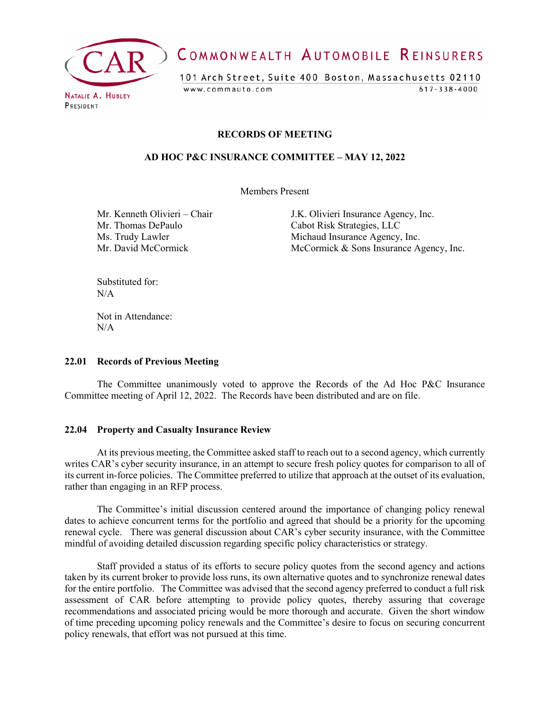

# COMMONWEALTH AUTOMOBILE REINSURERS

101 Arch Street, Suite 400 Boston, Massachusetts 02110 www.commauto.com  $617 - 338 - 4000$ 

PRESIDENT

#### **RECORDS OF MEETING**

#### **AD HOC P&C INSURANCE COMMITTEE – MAY 12, 2022**

Members Present

Mr. Thomas DePaulo Cabot Risk Strategies, LLC

Mr. Kenneth Olivieri – Chair J.K. Olivieri Insurance Agency, Inc. Ms. Trudy Lawler<br>Michaud Insurance Agency, Inc.<br>McCormick McCormick McCormick & Sons Insurance As  $McComick & Sons \text{ Insurance Agency, Inc.}$ 

Substituted for:  $N/A$ 

Not in Attendance:  $N/A$ 

#### **22.01 Records of Previous Meeting**

The Committee unanimously voted to approve the Records of the Ad Hoc P&C Insurance Committee meeting of April 12, 2022. The Records have been distributed and are on file.

#### **22.04 Property and Casualty Insurance Review**

At its previous meeting, the Committee asked staff to reach out to a second agency, which currently writes CAR's cyber security insurance, in an attempt to secure fresh policy quotes for comparison to all of its current in-force policies. The Committee preferred to utilize that approach at the outset of its evaluation, rather than engaging in an RFP process.

The Committee's initial discussion centered around the importance of changing policy renewal dates to achieve concurrent terms for the portfolio and agreed that should be a priority for the upcoming renewal cycle. There was general discussion about CAR's cyber security insurance, with the Committee mindful of avoiding detailed discussion regarding specific policy characteristics or strategy.

Staff provided a status of its efforts to secure policy quotes from the second agency and actions taken by its current broker to provide loss runs, its own alternative quotes and to synchronize renewal dates for the entire portfolio. The Committee was advised that the second agency preferred to conduct a full risk assessment of CAR before attempting to provide policy quotes, thereby assuring that coverage recommendations and associated pricing would be more thorough and accurate. Given the short window of time preceding upcoming policy renewals and the Committee's desire to focus on securing concurrent policy renewals, that effort was not pursued at this time.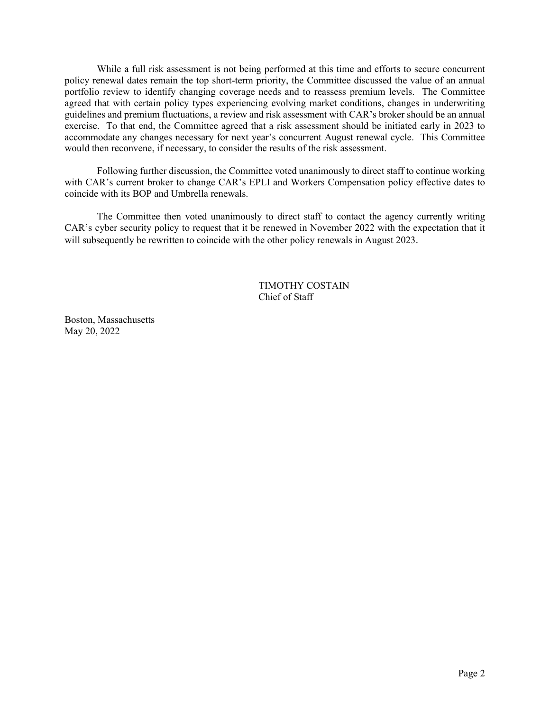While a full risk assessment is not being performed at this time and efforts to secure concurrent policy renewal dates remain the top short-term priority, the Committee discussed the value of an annual portfolio review to identify changing coverage needs and to reassess premium levels. The Committee agreed that with certain policy types experiencing evolving market conditions, changes in underwriting guidelines and premium fluctuations, a review and risk assessment with CAR's broker should be an annual exercise. To that end, the Committee agreed that a risk assessment should be initiated early in 2023 to accommodate any changes necessary for next year's concurrent August renewal cycle. This Committee would then reconvene, if necessary, to consider the results of the risk assessment.

Following further discussion, the Committee voted unanimously to direct staff to continue working with CAR's current broker to change CAR's EPLI and Workers Compensation policy effective dates to coincide with its BOP and Umbrella renewals.

The Committee then voted unanimously to direct staff to contact the agency currently writing CAR's cyber security policy to request that it be renewed in November 2022 with the expectation that it will subsequently be rewritten to coincide with the other policy renewals in August 2023.

### TIMOTHY COSTAIN Chief of Staff

Boston, Massachusetts May 20, 2022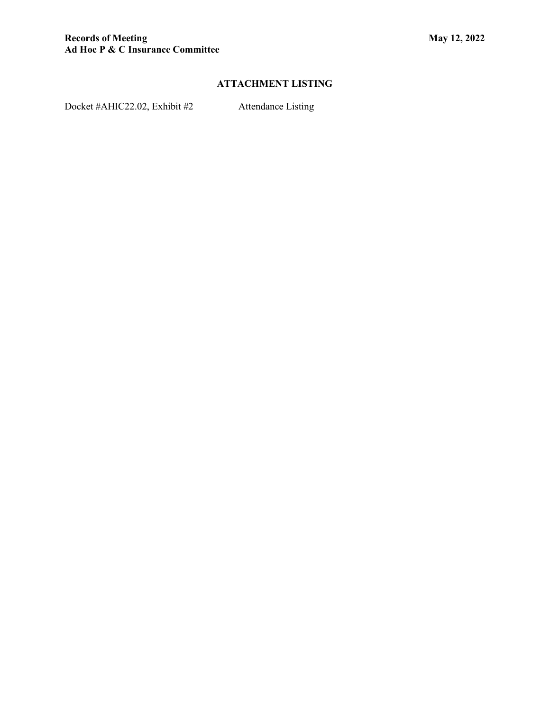# **ATTACHMENT LISTING**

Docket #AHIC22.02, Exhibit #2 Attendance Listing